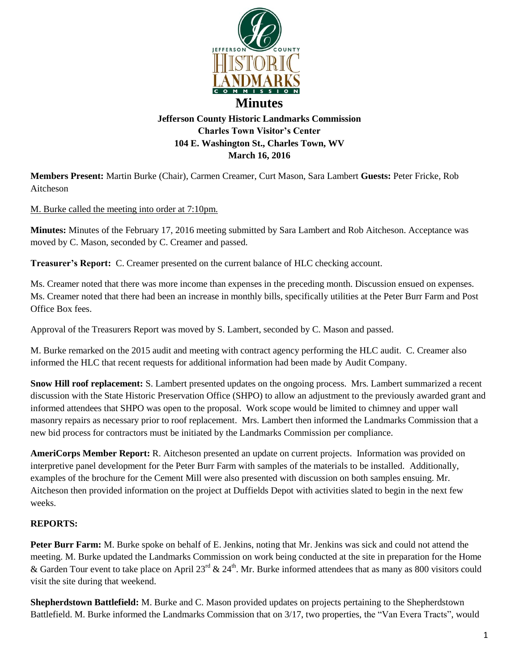

## **Jefferson County Historic Landmarks Commission Charles Town Visitor's Center 104 E. Washington St., Charles Town, WV March 16, 2016**

**Members Present:** Martin Burke (Chair), Carmen Creamer, Curt Mason, Sara Lambert **Guests:** Peter Fricke, Rob Aitcheson

M. Burke called the meeting into order at 7:10pm.

**Minutes:** Minutes of the February 17, 2016 meeting submitted by Sara Lambert and Rob Aitcheson. Acceptance was moved by C. Mason, seconded by C. Creamer and passed.

**Treasurer's Report:** C. Creamer presented on the current balance of HLC checking account.

Ms. Creamer noted that there was more income than expenses in the preceding month. Discussion ensued on expenses. Ms. Creamer noted that there had been an increase in monthly bills, specifically utilities at the Peter Burr Farm and Post Office Box fees.

Approval of the Treasurers Report was moved by S. Lambert, seconded by C. Mason and passed.

M. Burke remarked on the 2015 audit and meeting with contract agency performing the HLC audit. C. Creamer also informed the HLC that recent requests for additional information had been made by Audit Company.

**Snow Hill roof replacement:** S. Lambert presented updates on the ongoing process. Mrs. Lambert summarized a recent discussion with the State Historic Preservation Office (SHPO) to allow an adjustment to the previously awarded grant and informed attendees that SHPO was open to the proposal. Work scope would be limited to chimney and upper wall masonry repairs as necessary prior to roof replacement. Mrs. Lambert then informed the Landmarks Commission that a new bid process for contractors must be initiated by the Landmarks Commission per compliance.

**AmeriCorps Member Report:** R. Aitcheson presented an update on current projects. Information was provided on interpretive panel development for the Peter Burr Farm with samples of the materials to be installed. Additionally, examples of the brochure for the Cement Mill were also presented with discussion on both samples ensuing. Mr. Aitcheson then provided information on the project at Duffields Depot with activities slated to begin in the next few weeks.

## **REPORTS:**

**Peter Burr Farm:** M. Burke spoke on behalf of E. Jenkins, noting that Mr. Jenkins was sick and could not attend the meeting. M. Burke updated the Landmarks Commission on work being conducted at the site in preparation for the Home & Garden Tour event to take place on April 23<sup>rd</sup> & 24<sup>th</sup>. Mr. Burke informed attendees that as many as 800 visitors could visit the site during that weekend.

**Shepherdstown Battlefield:** M. Burke and C. Mason provided updates on projects pertaining to the Shepherdstown Battlefield. M. Burke informed the Landmarks Commission that on 3/17, two properties, the "Van Evera Tracts", would